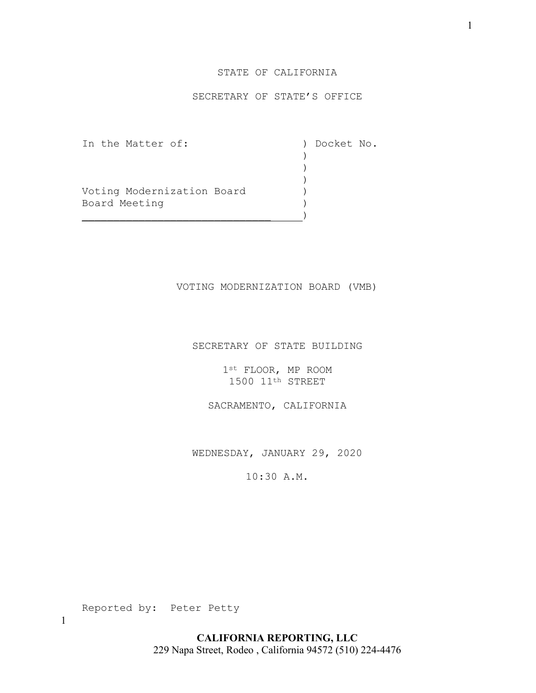## STATE OF CALIFORNIA

## SECRETARY OF STATE'S OFFICE

In the Matter of: ) Docket No.<br>
)

Voting Modernization Board ) Board Meeting (1999)

) and the contract of  $\mathcal{L}$  ) )

\_\_\_\_\_\_\_\_\_\_\_\_\_\_\_\_\_\_\_\_\_\_\_\_\_\_\_\_\_\_ )

## VOTING MODERNIZATION BOARD (VMB)

#### SECRETARY OF STATE BUILDING

1st FLOOR, MP ROOM 1500 11th STREET

SACRAMENTO, CALIFORNIA

WEDNESDAY, JANUARY 29, 2020

10:30 A.M.

Reported by: Peter Petty

1

**CALIFORNIA REPORTING, LLC** 229 Napa Street, Rodeo , California 94572 (510) 224-4476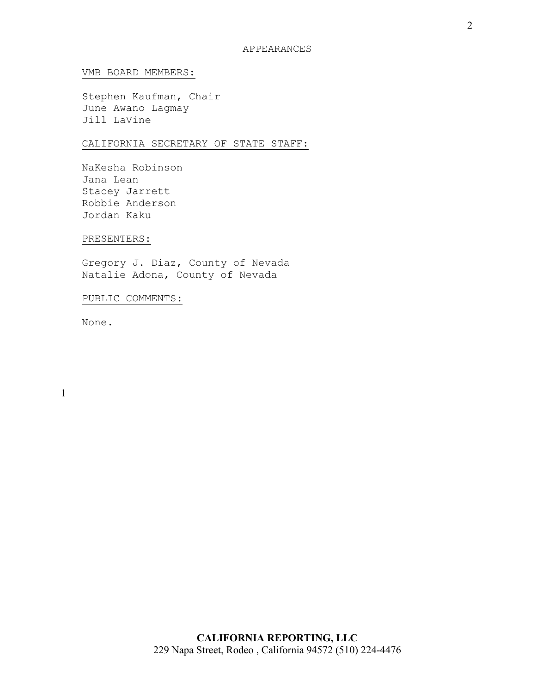## VMB BOARD MEMBERS:

Stephen Kaufman, Chair June Awano Lagmay Jill LaVine

# CALIFORNIA SECRETARY OF STATE STAFF:

NaKesha Robinson Jana Lean Stacey Jarrett Robbie Anderson Jordan Kaku

#### PRESENTERS:

Gregory J. Diaz, County of Nevada Natalie Adona, County of Nevada

# PUBLIC COMMENTS:

None.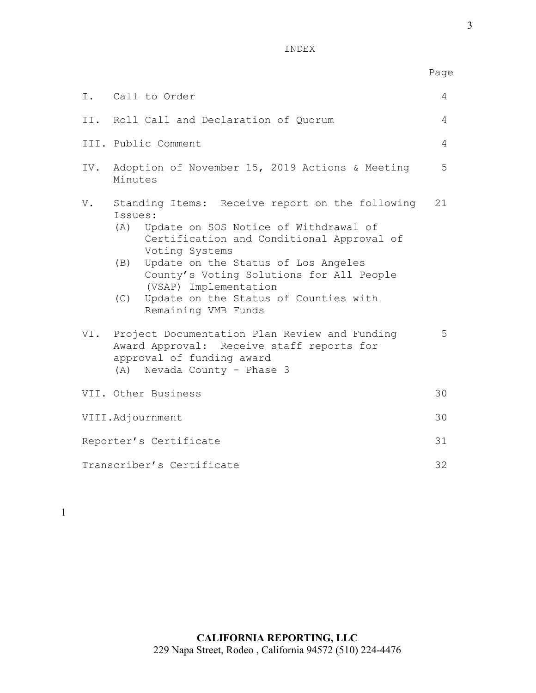INDEX

|                           |                                                                                                                                                                                                                                                                                                                                                            | Page           |  |  |  |  |  |
|---------------------------|------------------------------------------------------------------------------------------------------------------------------------------------------------------------------------------------------------------------------------------------------------------------------------------------------------------------------------------------------------|----------------|--|--|--|--|--|
|                           | I. Call to Order                                                                                                                                                                                                                                                                                                                                           | 4              |  |  |  |  |  |
|                           | II. Roll Call and Declaration of Quorum                                                                                                                                                                                                                                                                                                                    | $\overline{4}$ |  |  |  |  |  |
|                           | III. Public Comment                                                                                                                                                                                                                                                                                                                                        |                |  |  |  |  |  |
| IV.                       | Adoption of November 15, 2019 Actions & Meeting<br>Minutes                                                                                                                                                                                                                                                                                                 |                |  |  |  |  |  |
| V.                        | Standing Items: Receive report on the following<br>Issues:<br>(A) Update on SOS Notice of Withdrawal of<br>Certification and Conditional Approval of<br>Voting Systems<br>(B) Update on the Status of Los Angeles<br>County's Voting Solutions for All People<br>(VSAP) Implementation<br>(C) Update on the Status of Counties with<br>Remaining VMB Funds | 21             |  |  |  |  |  |
|                           | VI. Project Documentation Plan Review and Funding<br>Award Approval: Receive staff reports for<br>approval of funding award<br>(A) Nevada County - Phase 3                                                                                                                                                                                                 |                |  |  |  |  |  |
|                           | VII. Other Business                                                                                                                                                                                                                                                                                                                                        | 30             |  |  |  |  |  |
| VIII.Adjournment          |                                                                                                                                                                                                                                                                                                                                                            |                |  |  |  |  |  |
| Reporter's Certificate    |                                                                                                                                                                                                                                                                                                                                                            |                |  |  |  |  |  |
| Transcriber's Certificate |                                                                                                                                                                                                                                                                                                                                                            |                |  |  |  |  |  |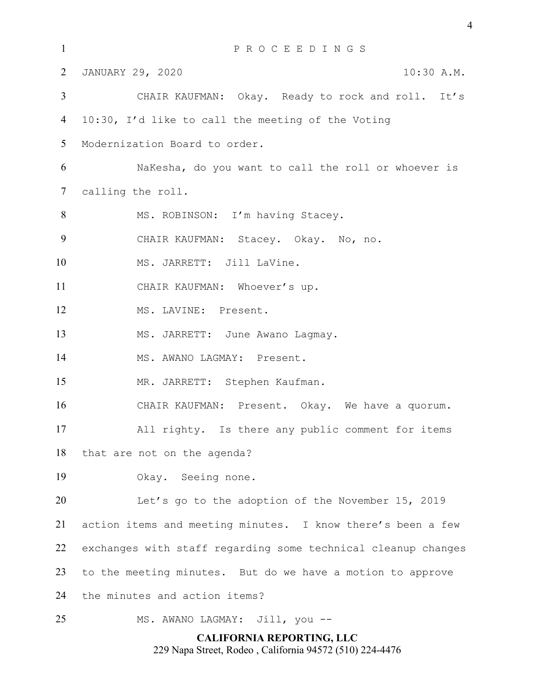| $\mathbf{1}$                     | PROCEEDINGS                                                   |  |  |  |  |  |  |  |  |
|----------------------------------|---------------------------------------------------------------|--|--|--|--|--|--|--|--|
| $\overline{2}$                   | JANUARY 29, 2020<br>10:30 A.M.                                |  |  |  |  |  |  |  |  |
| 3                                | CHAIR KAUFMAN: Okay. Ready to rock and roll. It's             |  |  |  |  |  |  |  |  |
| $\overline{4}$                   | 10:30, I'd like to call the meeting of the Voting             |  |  |  |  |  |  |  |  |
| 5 <sup>5</sup>                   | Modernization Board to order.                                 |  |  |  |  |  |  |  |  |
| 6                                | NaKesha, do you want to call the roll or whoever is           |  |  |  |  |  |  |  |  |
| $\tau$                           | calling the roll.                                             |  |  |  |  |  |  |  |  |
| 8                                | MS. ROBINSON: I'm having Stacey.                              |  |  |  |  |  |  |  |  |
| 9                                | CHAIR KAUFMAN: Stacey. Okay. No, no.                          |  |  |  |  |  |  |  |  |
| 10                               | MS. JARRETT: Jill LaVine.                                     |  |  |  |  |  |  |  |  |
| 11                               | CHAIR KAUFMAN: Whoever's up.                                  |  |  |  |  |  |  |  |  |
| 12                               | MS. LAVINE: Present.                                          |  |  |  |  |  |  |  |  |
| 13                               | MS. JARRETT: June Awano Lagmay.                               |  |  |  |  |  |  |  |  |
| 14                               | MS. AWANO LAGMAY: Present.                                    |  |  |  |  |  |  |  |  |
| 15                               | MR. JARRETT: Stephen Kaufman.                                 |  |  |  |  |  |  |  |  |
| 16                               | CHAIR KAUFMAN: Present. Okay. We have a quorum.               |  |  |  |  |  |  |  |  |
| 17                               | All righty. Is there any public comment for items             |  |  |  |  |  |  |  |  |
| 18                               | that are not on the agenda?                                   |  |  |  |  |  |  |  |  |
| 19                               | Okay. Seeing none.                                            |  |  |  |  |  |  |  |  |
| 20                               | Let's go to the adoption of the November 15, 2019             |  |  |  |  |  |  |  |  |
| 21                               | action items and meeting minutes. I know there's been a few   |  |  |  |  |  |  |  |  |
| 22                               | exchanges with staff regarding some technical cleanup changes |  |  |  |  |  |  |  |  |
| 23                               | to the meeting minutes. But do we have a motion to approve    |  |  |  |  |  |  |  |  |
| 24                               | the minutes and action items?                                 |  |  |  |  |  |  |  |  |
| 25                               | MS. AWANO LAGMAY: Jill, you --                                |  |  |  |  |  |  |  |  |
| <b>CALIFORNIA REPORTING, LLC</b> |                                                               |  |  |  |  |  |  |  |  |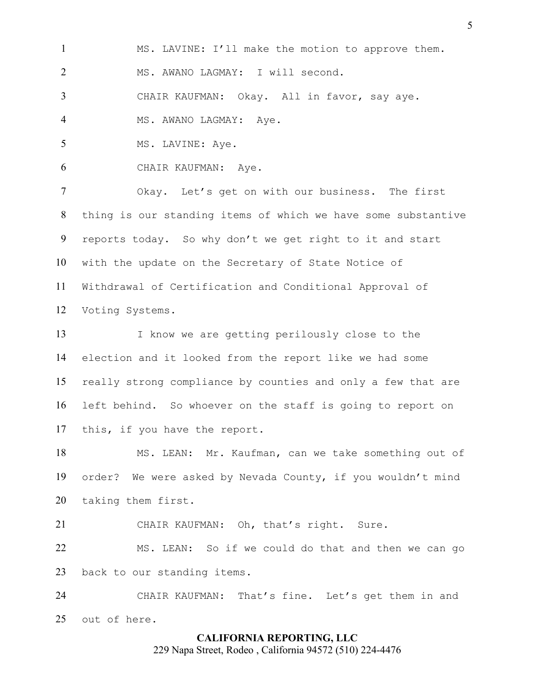MS. LAVINE: I'll make the motion to approve them.

MS. AWANO LAGMAY: I will second.

CHAIR KAUFMAN: Okay. All in favor, say aye.

4 MS. AWANO LAGMAY: Aye.

5 MS. LAVINE: Aye.

CHAIR KAUFMAN: Aye.

Okay. Let's get on with our business. The first thing is our standing items of which we have some substantive reports today. So why don't we get right to it and start with the update on the Secretary of State Notice of Withdrawal of Certification and Conditional Approval of Voting Systems.

I know we are getting perilously close to the election and it looked from the report like we had some really strong compliance by counties and only a few that are left behind. So whoever on the staff is going to report on this, if you have the report.

MS. LEAN: Mr. Kaufman, can we take something out of order? We were asked by Nevada County, if you wouldn't mind taking them first.

CHAIR KAUFMAN: Oh, that's right. Sure. MS. LEAN: So if we could do that and then we can go back to our standing items.

CHAIR KAUFMAN: That's fine. Let's get them in and out of here.

## **CALIFORNIA REPORTING, LLC**

229 Napa Street, Rodeo , California 94572 (510) 224-4476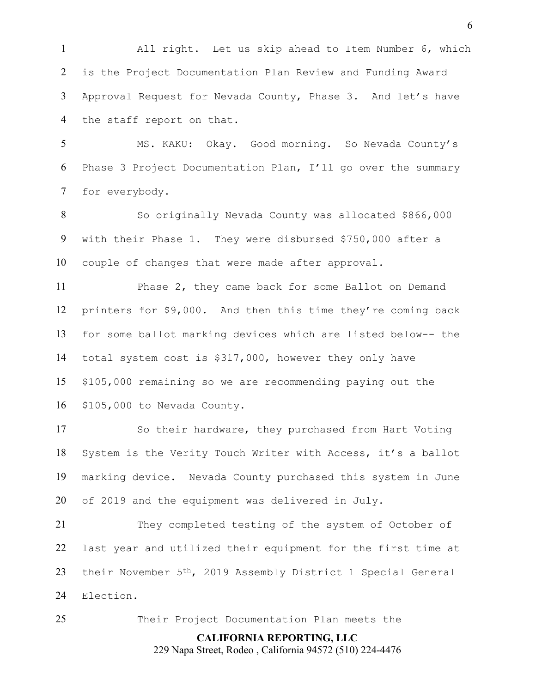All right. Let us skip ahead to Item Number 6, which is the Project Documentation Plan Review and Funding Award Approval Request for Nevada County, Phase 3. And let's have the staff report on that.

MS. KAKU: Okay. Good morning. So Nevada County's Phase 3 Project Documentation Plan, I'll go over the summary for everybody.

So originally Nevada County was allocated \$866,000 with their Phase 1. They were disbursed \$750,000 after a couple of changes that were made after approval.

Phase 2, they came back for some Ballot on Demand printers for \$9,000. And then this time they're coming back for some ballot marking devices which are listed below-- the total system cost is \$317,000, however they only have \$105,000 remaining so we are recommending paying out the \$105,000 to Nevada County.

So their hardware, they purchased from Hart Voting System is the Verity Touch Writer with Access, it's a ballot marking device. Nevada County purchased this system in June of 2019 and the equipment was delivered in July.

They completed testing of the system of October of last year and utilized their equipment for the first time at their November 5th, 2019 Assembly District 1 Special General Election.

Their Project Documentation Plan meets the

**CALIFORNIA REPORTING, LLC** 229 Napa Street, Rodeo , California 94572 (510) 224-4476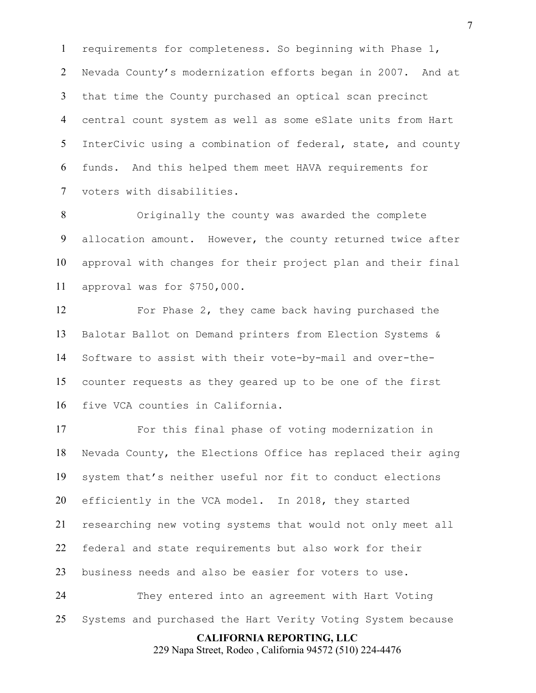requirements for completeness. So beginning with Phase 1, Nevada County's modernization efforts began in 2007. And at that time the County purchased an optical scan precinct central count system as well as some eSlate units from Hart InterCivic using a combination of federal, state, and county funds. And this helped them meet HAVA requirements for voters with disabilities.

Originally the county was awarded the complete allocation amount. However, the county returned twice after approval with changes for their project plan and their final approval was for \$750,000.

For Phase 2, they came back having purchased the Balotar Ballot on Demand printers from Election Systems & Software to assist with their vote-by-mail and over-the-counter requests as they geared up to be one of the first five VCA counties in California.

For this final phase of voting modernization in Nevada County, the Elections Office has replaced their aging system that's neither useful nor fit to conduct elections efficiently in the VCA model. In 2018, they started researching new voting systems that would not only meet all federal and state requirements but also work for their business needs and also be easier for voters to use. They entered into an agreement with Hart Voting

Systems and purchased the Hart Verity Voting System because

**CALIFORNIA REPORTING, LLC**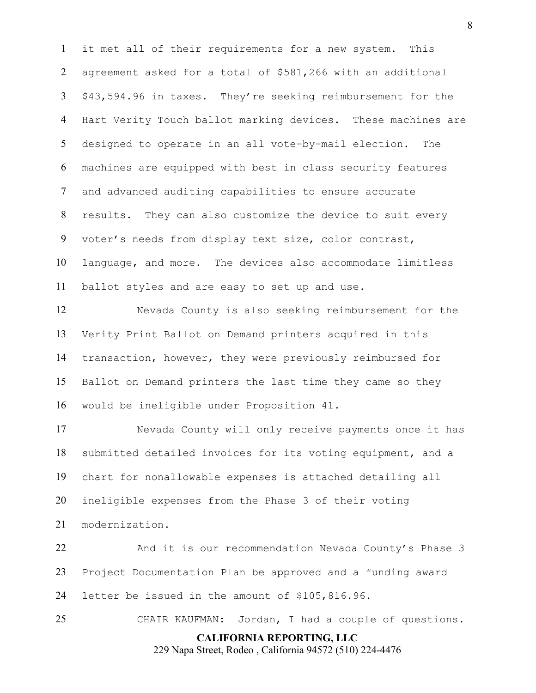it met all of their requirements for a new system. This agreement asked for a total of \$581,266 with an additional \$43,594.96 in taxes. They're seeking reimbursement for the Hart Verity Touch ballot marking devices. These machines are designed to operate in an all vote-by-mail election. The machines are equipped with best in class security features and advanced auditing capabilities to ensure accurate results. They can also customize the device to suit every voter's needs from display text size, color contrast, language, and more. The devices also accommodate limitless ballot styles and are easy to set up and use.

Nevada County is also seeking reimbursement for the Verity Print Ballot on Demand printers acquired in this transaction, however, they were previously reimbursed for Ballot on Demand printers the last time they came so they would be ineligible under Proposition 41.

Nevada County will only receive payments once it has submitted detailed invoices for its voting equipment, and a chart for nonallowable expenses is attached detailing all ineligible expenses from the Phase 3 of their voting modernization.

And it is our recommendation Nevada County's Phase 3 Project Documentation Plan be approved and a funding award letter be issued in the amount of \$105,816.96.

CHAIR KAUFMAN: Jordan, I had a couple of questions.

**CALIFORNIA REPORTING, LLC** 229 Napa Street, Rodeo , California 94572 (510) 224-4476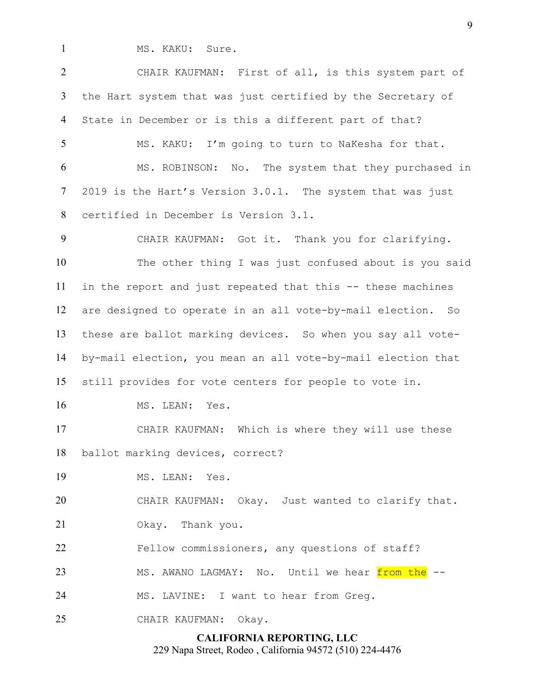1 MS. KAKU: Sure.

CHAIR KAUFMAN: First of all, is this system part of the Hart system that was just certified by the Secretary of State in December or is this a different part of that? MS. KAKU: I'm going to turn to NaKesha for that. MS. ROBINSON: No. The system that they purchased in

2019 is the Hart's Version 3.0.1. The system that was just

certified in December is Version 3.1.

CHAIR KAUFMAN: Got it. Thank you for clarifying. The other thing I was just confused about is you said in the report and just repeated that this -- these machines are designed to operate in an all vote-by-mail election. So these are ballot marking devices. So when you say all vote-by-mail election, you mean an all vote-by-mail election that still provides for vote centers for people to vote in.

16 MS. LEAN: Yes.

CHAIR KAUFMAN: Which is where they will use these ballot marking devices, correct?

MS. LEAN: Yes.

CHAIR KAUFMAN: Okay. Just wanted to clarify that.

Okay. Thank you.

Fellow commissioners, any questions of staff?

23 MS. AWANO LAGMAY: No. Until we hear from the

MS. LAVINE: I want to hear from Greg.

CHAIR KAUFMAN: Okay.

**CALIFORNIA REPORTING, LLC**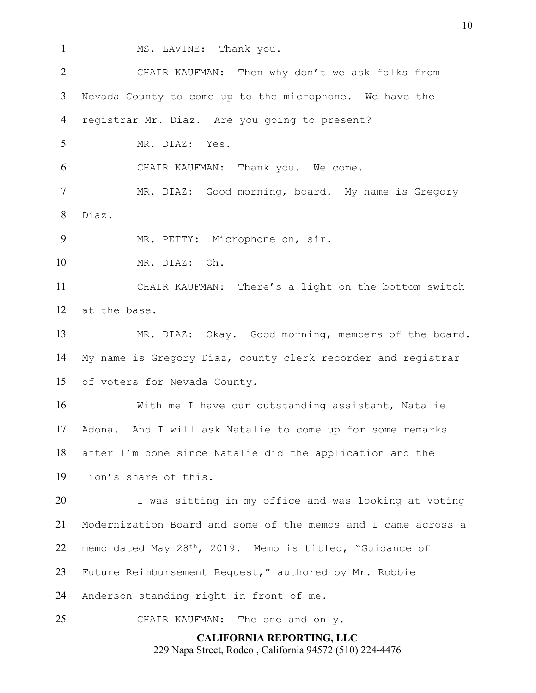- 
- MS. LAVINE: Thank you.

CHAIR KAUFMAN: Then why don't we ask folks from Nevada County to come up to the microphone. We have the registrar Mr. Diaz. Are you going to present? MR. DIAZ: Yes. CHAIR KAUFMAN: Thank you. Welcome. 7 MR. DIAZ: Good morning, board. My name is Gregory Diaz. MR. PETTY: Microphone on, sir.

MR. DIAZ: Oh.

CHAIR KAUFMAN: There's a light on the bottom switch at the base.

MR. DIAZ: Okay. Good morning, members of the board. My name is Gregory Diaz, county clerk recorder and registrar of voters for Nevada County.

With me I have our outstanding assistant, Natalie Adona. And I will ask Natalie to come up for some remarks after I'm done since Natalie did the application and the lion's share of this.

I was sitting in my office and was looking at Voting Modernization Board and some of the memos and I came across a memo dated May 28th, 2019. Memo is titled, "Guidance of Future Reimbursement Request," authored by Mr. Robbie

Anderson standing right in front of me.

CHAIR KAUFMAN: The one and only.

**CALIFORNIA REPORTING, LLC** 229 Napa Street, Rodeo , California 94572 (510) 224-4476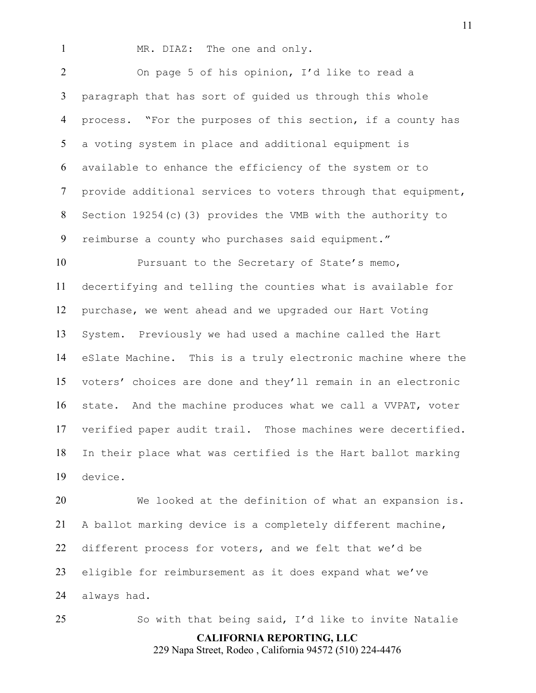1 MR. DIAZ: The one and only.

On page 5 of his opinion, I'd like to read a paragraph that has sort of guided us through this whole process. "For the purposes of this section, if a county has a voting system in place and additional equipment is available to enhance the efficiency of the system or to provide additional services to voters through that equipment, Section 19254(c)(3) provides the VMB with the authority to reimburse a county who purchases said equipment."

10 Pursuant to the Secretary of State's memo, decertifying and telling the counties what is available for purchase, we went ahead and we upgraded our Hart Voting System. Previously we had used a machine called the Hart eSlate Machine. This is a truly electronic machine where the voters' choices are done and they'll remain in an electronic state. And the machine produces what we call a VVPAT, voter verified paper audit trail. Those machines were decertified. In their place what was certified is the Hart ballot marking device.

We looked at the definition of what an expansion is. A ballot marking device is a completely different machine, different process for voters, and we felt that we'd be eligible for reimbursement as it does expand what we've always had.

So with that being said, I'd like to invite Natalie

**CALIFORNIA REPORTING, LLC**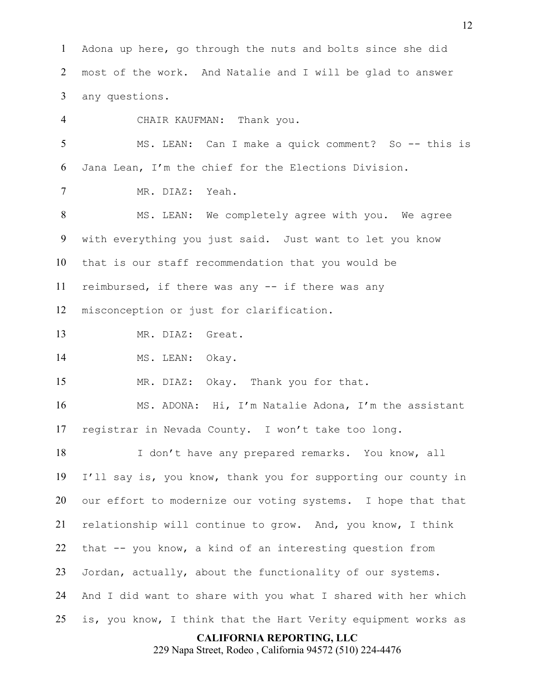**CALIFORNIA REPORTING, LLC** Adona up here, go through the nuts and bolts since she did most of the work. And Natalie and I will be glad to answer any questions. CHAIR KAUFMAN: Thank you. MS. LEAN: Can I make a quick comment? So -- this is Jana Lean, I'm the chief for the Elections Division. MR. DIAZ: Yeah. MS. LEAN: We completely agree with you. We agree with everything you just said. Just want to let you know that is our staff recommendation that you would be reimbursed, if there was any -- if there was any misconception or just for clarification. MR. DIAZ: Great. 14 MS. LEAN: Okay. MR. DIAZ: Okay. Thank you for that. MS. ADONA: Hi, I'm Natalie Adona, I'm the assistant registrar in Nevada County. I won't take too long. I don't have any prepared remarks. You know, all I'll say is, you know, thank you for supporting our county in our effort to modernize our voting systems. I hope that that relationship will continue to grow. And, you know, I think that -- you know, a kind of an interesting question from Jordan, actually, about the functionality of our systems. And I did want to share with you what I shared with her which is, you know, I think that the Hart Verity equipment works as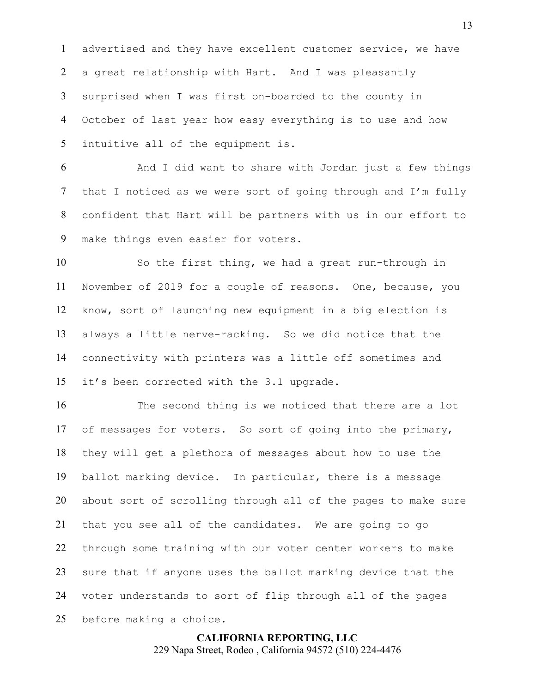advertised and they have excellent customer service, we have a great relationship with Hart. And I was pleasantly surprised when I was first on-boarded to the county in October of last year how easy everything is to use and how intuitive all of the equipment is.

And I did want to share with Jordan just a few things that I noticed as we were sort of going through and I'm fully confident that Hart will be partners with us in our effort to make things even easier for voters.

So the first thing, we had a great run-through in November of 2019 for a couple of reasons. One, because, you know, sort of launching new equipment in a big election is always a little nerve-racking. So we did notice that the connectivity with printers was a little off sometimes and it's been corrected with the 3.1 upgrade.

The second thing is we noticed that there are a lot of messages for voters. So sort of going into the primary, they will get a plethora of messages about how to use the ballot marking device. In particular, there is a message about sort of scrolling through all of the pages to make sure that you see all of the candidates. We are going to go through some training with our voter center workers to make sure that if anyone uses the ballot marking device that the voter understands to sort of flip through all of the pages before making a choice.

> **CALIFORNIA REPORTING, LLC** 229 Napa Street, Rodeo , California 94572 (510) 224-4476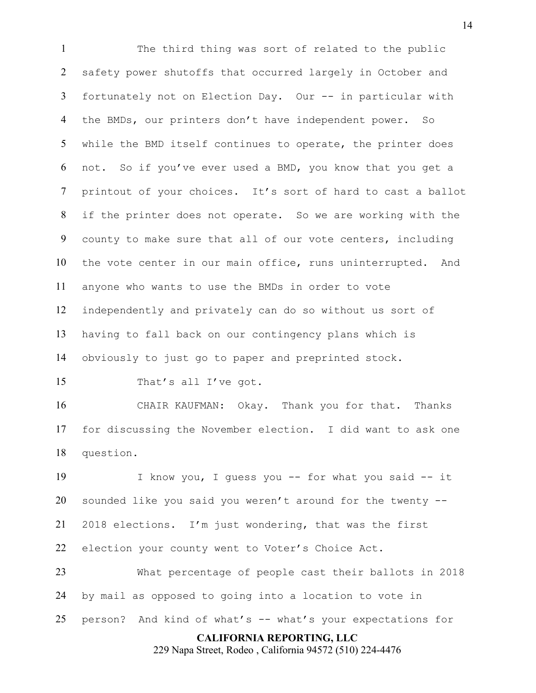The third thing was sort of related to the public safety power shutoffs that occurred largely in October and fortunately not on Election Day. Our -- in particular with the BMDs, our printers don't have independent power. So while the BMD itself continues to operate, the printer does not. So if you've ever used a BMD, you know that you get a printout of your choices. It's sort of hard to cast a ballot if the printer does not operate. So we are working with the county to make sure that all of our vote centers, including the vote center in our main office, runs uninterrupted. And anyone who wants to use the BMDs in order to vote independently and privately can do so without us sort of having to fall back on our contingency plans which is obviously to just go to paper and preprinted stock.

15 That's all I've got.

CHAIR KAUFMAN: Okay. Thank you for that. Thanks for discussing the November election. I did want to ask one question.

I know you, I guess you -- for what you said -- it sounded like you said you weren't around for the twenty -- 2018 elections. I'm just wondering, that was the first election your county went to Voter's Choice Act.

What percentage of people cast their ballots in 2018 by mail as opposed to going into a location to vote in person? And kind of what's -- what's your expectations for

## **CALIFORNIA REPORTING, LLC**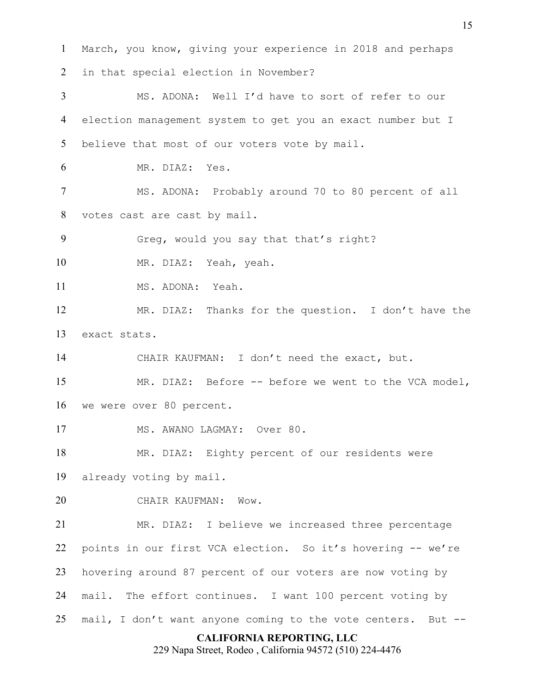**CALIFORNIA REPORTING, LLC** March, you know, giving your experience in 2018 and perhaps in that special election in November? MS. ADONA: Well I'd have to sort of refer to our election management system to get you an exact number but I 5 believe that most of our voters vote by mail. MR. DIAZ: Yes. MS. ADONA: Probably around 70 to 80 percent of all votes cast are cast by mail. Greg, would you say that that's right? MR. DIAZ: Yeah, yeah. 11 MS. ADONA: Yeah. MR. DIAZ: Thanks for the question. I don't have the exact stats. CHAIR KAUFMAN: I don't need the exact, but. MR. DIAZ: Before -- before we went to the VCA model, we were over 80 percent. 17 MS. AWANO LAGMAY: Over 80. MR. DIAZ: Eighty percent of our residents were already voting by mail. CHAIR KAUFMAN: Wow. MR. DIAZ: I believe we increased three percentage points in our first VCA election. So it's hovering -- we're hovering around 87 percent of our voters are now voting by mail. The effort continues. I want 100 percent voting by mail, I don't want anyone coming to the vote centers. But --

229 Napa Street, Rodeo , California 94572 (510) 224-4476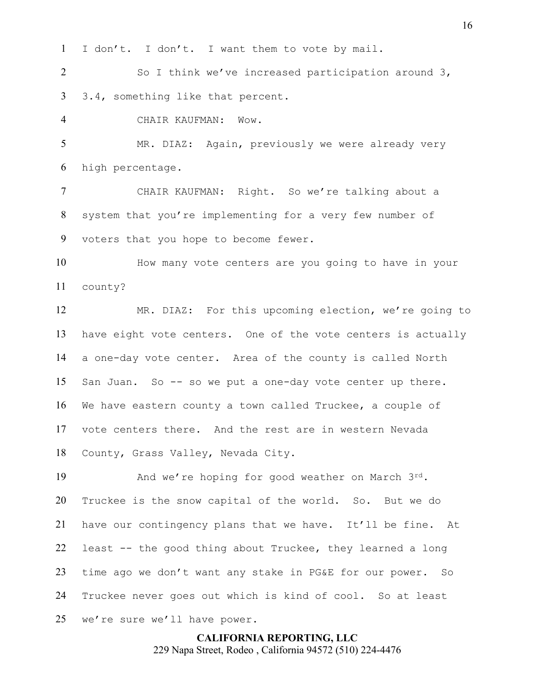I don't. I don't. I want them to vote by mail.

So I think we've increased participation around 3, 3.4, something like that percent.

CHAIR KAUFMAN: Wow.

5 MR. DIAZ: Again, previously we were already very high percentage.

CHAIR KAUFMAN: Right. So we're talking about a system that you're implementing for a very few number of voters that you hope to become fewer.

How many vote centers are you going to have in your county?

MR. DIAZ: For this upcoming election, we're going to have eight vote centers. One of the vote centers is actually a one-day vote center. Area of the county is called North San Juan. So -- so we put a one-day vote center up there. We have eastern county a town called Truckee, a couple of vote centers there. And the rest are in western Nevada County, Grass Valley, Nevada City.

19 And we're hoping for good weather on March 3rd. Truckee is the snow capital of the world. So. But we do have our contingency plans that we have. It'll be fine. At least -- the good thing about Truckee, they learned a long time ago we don't want any stake in PG&E for our power. So Truckee never goes out which is kind of cool. So at least we're sure we'll have power.

> **CALIFORNIA REPORTING, LLC** 229 Napa Street, Rodeo , California 94572 (510) 224-4476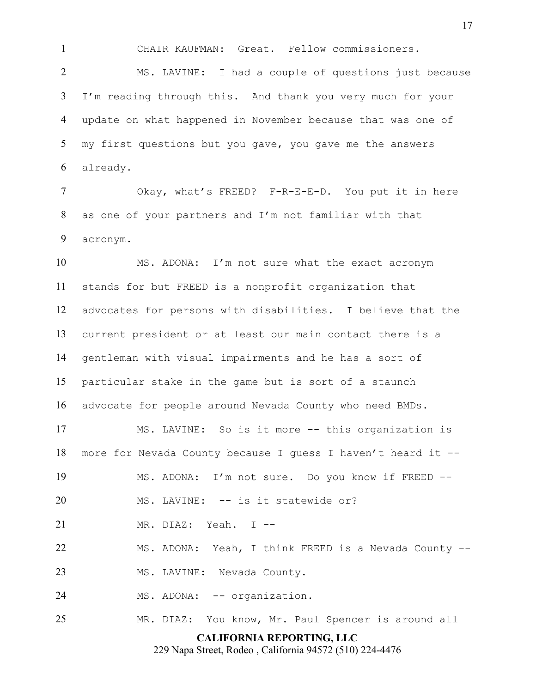CHAIR KAUFMAN: Great. Fellow commissioners.

MS. LAVINE: I had a couple of questions just because I'm reading through this. And thank you very much for your update on what happened in November because that was one of my first questions but you gave, you gave me the answers already.

Okay, what's FREED? F-R-E-E-D. You put it in here as one of your partners and I'm not familiar with that acronym.

MS. ADONA: I'm not sure what the exact acronym stands for but FREED is a nonprofit organization that advocates for persons with disabilities. I believe that the current president or at least our main contact there is a gentleman with visual impairments and he has a sort of particular stake in the game but is sort of a staunch advocate for people around Nevada County who need BMDs.

MS. LAVINE: So is it more -- this organization is more for Nevada County because I guess I haven't heard it -- MS. ADONA: I'm not sure. Do you know if FREED -- MS. LAVINE: -- is it statewide or? MR. DIAZ: Yeah. I -- MS. ADONA: Yeah, I think FREED is a Nevada County -- 23 MS. LAVINE: Nevada County. 24 MS. ADONA: -- organization.

MR. DIAZ: You know, Mr. Paul Spencer is around all

# **CALIFORNIA REPORTING, LLC**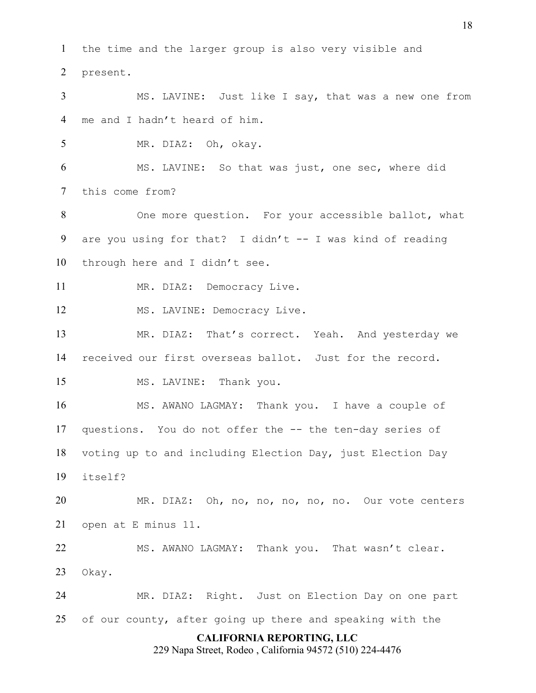**CALIFORNIA REPORTING, LLC** 229 Napa Street, Rodeo , California 94572 (510) 224-4476 the time and the larger group is also very visible and present. MS. LAVINE: Just like I say, that was a new one from me and I hadn't heard of him. MR. DIAZ: Oh, okay. MS. LAVINE: So that was just, one sec, where did this come from? 8 One more question. For your accessible ballot, what are you using for that? I didn't -- I was kind of reading through here and I didn't see. 11 MR. DIAZ: Democracy Live. 12 MS. LAVINE: Democracy Live. MR. DIAZ: That's correct. Yeah. And yesterday we received our first overseas ballot. Just for the record. 15 MS. LAVINE: Thank you. MS. AWANO LAGMAY: Thank you. I have a couple of questions. You do not offer the -- the ten-day series of voting up to and including Election Day, just Election Day itself? MR. DIAZ: Oh, no, no, no, no, no. Our vote centers open at E minus 11. 22 MS. AWANO LAGMAY: Thank you. That wasn't clear. Okay. MR. DIAZ: Right. Just on Election Day on one part of our county, after going up there and speaking with the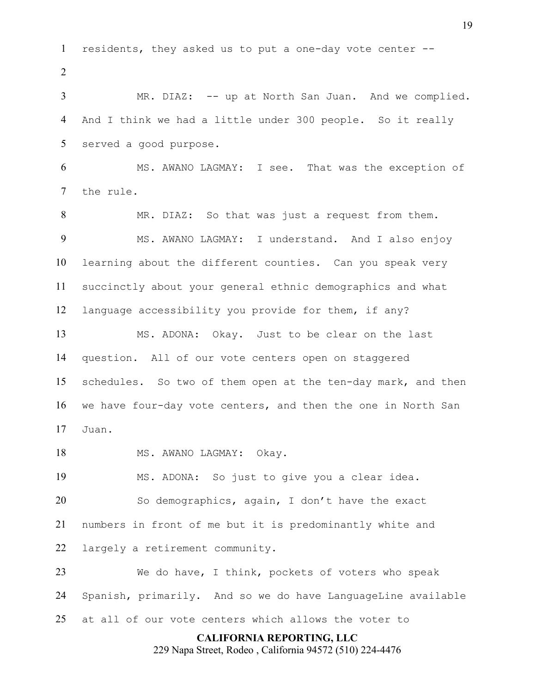**CALIFORNIA REPORTING, LLC** residents, they asked us to put a one-day vote center --  $\mathcal{L}$ MR. DIAZ: -- up at North San Juan. And we complied. And I think we had a little under 300 people. So it really served a good purpose. MS. AWANO LAGMAY: I see. That was the exception of the rule. MR. DIAZ: So that was just a request from them. 9 MS. AWANO LAGMAY: I understand. And I also enjoy learning about the different counties. Can you speak very succinctly about your general ethnic demographics and what language accessibility you provide for them, if any? MS. ADONA: Okay. Just to be clear on the last question. All of our vote centers open on staggered schedules. So two of them open at the ten-day mark, and then we have four-day vote centers, and then the one in North San Juan. 18 MS. AWANO LAGMAY: Okay. MS. ADONA: So just to give you a clear idea. So demographics, again, I don't have the exact numbers in front of me but it is predominantly white and largely a retirement community. We do have, I think, pockets of voters who speak Spanish, primarily. And so we do have LanguageLine available at all of our vote centers which allows the voter to

229 Napa Street, Rodeo , California 94572 (510) 224-4476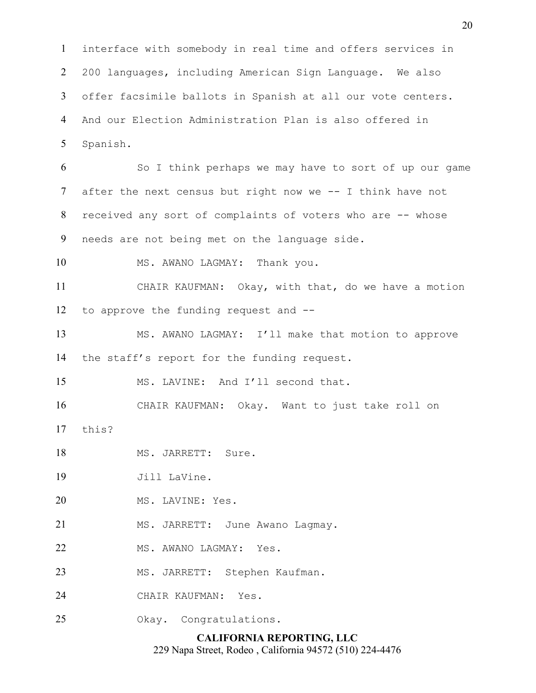interface with somebody in real time and offers services in 200 languages, including American Sign Language. We also offer facsimile ballots in Spanish at all our vote centers. And our Election Administration Plan is also offered in Spanish.

So I think perhaps we may have to sort of up our game after the next census but right now we -- I think have not received any sort of complaints of voters who are -- whose needs are not being met on the language side.

MS. AWANO LAGMAY: Thank you.

CHAIR KAUFMAN: Okay, with that, do we have a motion to approve the funding request and --

MS. AWANO LAGMAY: I'll make that motion to approve the staff's report for the funding request.

MS. LAVINE: And I'll second that.

CHAIR KAUFMAN: Okay. Want to just take roll on

this?

18 MS. JARRETT: Sure.

Jill LaVine.

20 MS. LAVINE: Yes.

21 MS. JARRETT: June Awano Lagmay.

22 MS. AWANO LAGMAY: Yes.

MS. JARRETT: Stephen Kaufman.

CHAIR KAUFMAN: Yes.

Okay. Congratulations.

# **CALIFORNIA REPORTING, LLC**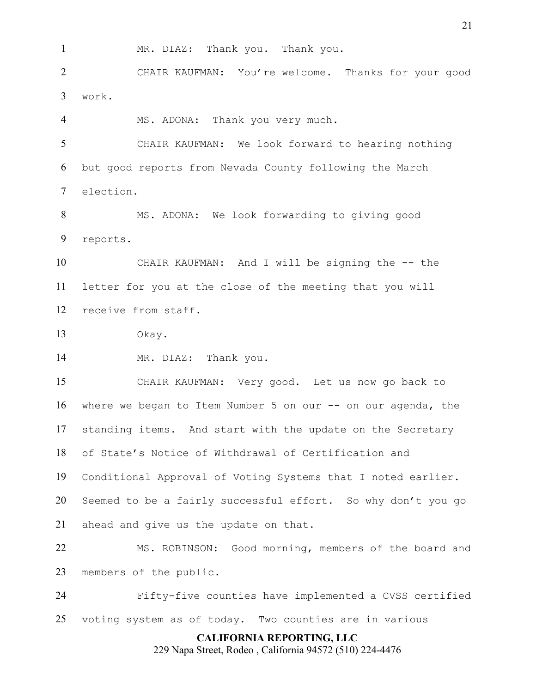MR. DIAZ: Thank you. Thank you.

CHAIR KAUFMAN: You're welcome. Thanks for your good work.

MS. ADONA: Thank you very much.

CHAIR KAUFMAN: We look forward to hearing nothing but good reports from Nevada County following the March election.

MS. ADONA: We look forwarding to giving good reports.

CHAIR KAUFMAN: And I will be signing the -- the letter for you at the close of the meeting that you will receive from staff.

Okay.

MR. DIAZ: Thank you.

CHAIR KAUFMAN: Very good. Let us now go back to where we began to Item Number 5 on our -- on our agenda, the standing items. And start with the update on the Secretary of State's Notice of Withdrawal of Certification and Conditional Approval of Voting Systems that I noted earlier. Seemed to be a fairly successful effort. So why don't you go ahead and give us the update on that.

MS. ROBINSON: Good morning, members of the board and members of the public.

Fifty-five counties have implemented a CVSS certified voting system as of today. Two counties are in various

**CALIFORNIA REPORTING, LLC**

229 Napa Street, Rodeo , California 94572 (510) 224-4476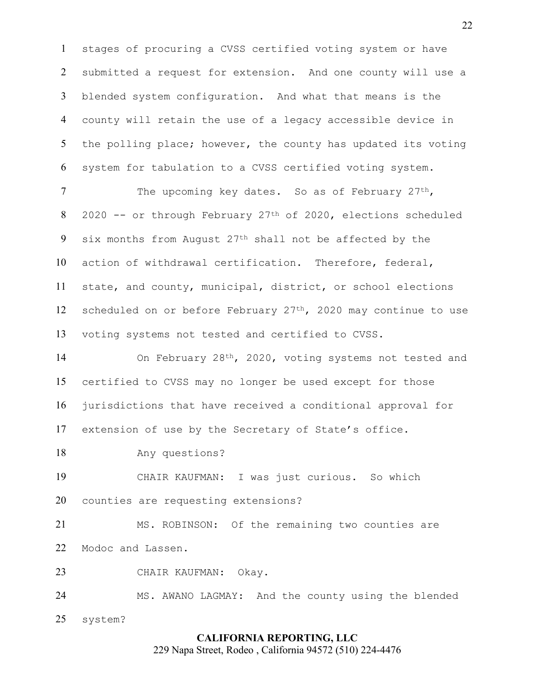stages of procuring a CVSS certified voting system or have submitted a request for extension. And one county will use a blended system configuration. And what that means is the county will retain the use of a legacy accessible device in 5 the polling place; however, the county has updated its voting system for tabulation to a CVSS certified voting system.

7 The upcoming key dates. So as of February 27<sup>th</sup>, 2020 -- or through February 27th of 2020, elections scheduled 9 six months from August  $27<sup>th</sup>$  shall not be affected by the action of withdrawal certification. Therefore, federal, state, and county, municipal, district, or school elections 12 scheduled on or before February  $27<sup>th</sup>$ , 2020 may continue to use voting systems not tested and certified to CVSS.

14 On February 28<sup>th</sup>, 2020, voting systems not tested and certified to CVSS may no longer be used except for those jurisdictions that have received a conditional approval for extension of use by the Secretary of State's office.

Any questions?

CHAIR KAUFMAN: I was just curious. So which counties are requesting extensions?

MS. ROBINSON: Of the remaining two counties are Modoc and Lassen.

CHAIR KAUFMAN: Okay.

MS. AWANO LAGMAY: And the county using the blended system?

## **CALIFORNIA REPORTING, LLC**

229 Napa Street, Rodeo , California 94572 (510) 224-4476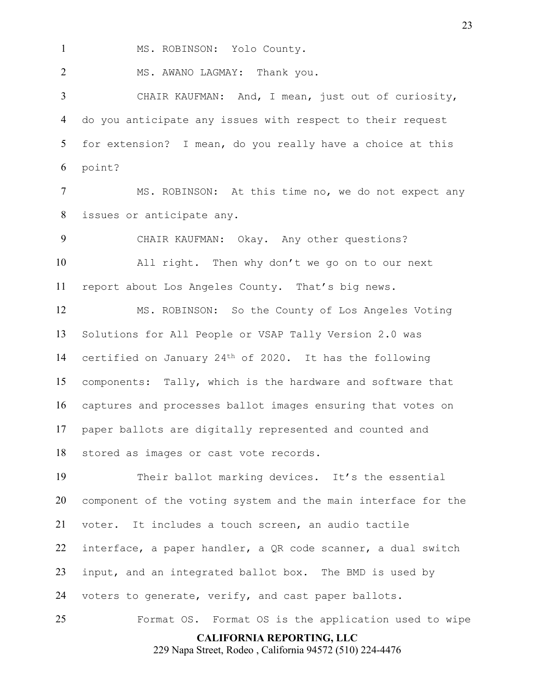MS. ROBINSON: Yolo County.

2 MS. AWANO LAGMAY: Thank you.

CHAIR KAUFMAN: And, I mean, just out of curiosity, do you anticipate any issues with respect to their request for extension? I mean, do you really have a choice at this point?

MS. ROBINSON: At this time no, we do not expect any issues or anticipate any.

CHAIR KAUFMAN: Okay. Any other questions? All right. Then why don't we go on to our next report about Los Angeles County. That's big news.

MS. ROBINSON: So the County of Los Angeles Voting Solutions for All People or VSAP Tally Version 2.0 was certified on January 24th of 2020. It has the following components: Tally, which is the hardware and software that captures and processes ballot images ensuring that votes on paper ballots are digitally represented and counted and stored as images or cast vote records.

Their ballot marking devices. It's the essential component of the voting system and the main interface for the voter. It includes a touch screen, an audio tactile interface, a paper handler, a QR code scanner, a dual switch input, and an integrated ballot box. The BMD is used by voters to generate, verify, and cast paper ballots.

**CALIFORNIA REPORTING, LLC** Format OS. Format OS is the application used to wipe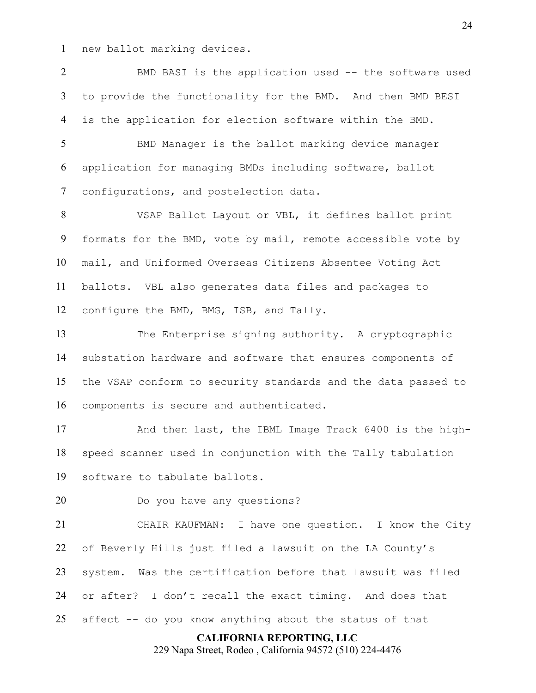new ballot marking devices.

BMD BASI is the application used -- the software used to provide the functionality for the BMD. And then BMD BESI is the application for election software within the BMD.

5 BMD Manager is the ballot marking device manager application for managing BMDs including software, ballot configurations, and postelection data.

VSAP Ballot Layout or VBL, it defines ballot print formats for the BMD, vote by mail, remote accessible vote by mail, and Uniformed Overseas Citizens Absentee Voting Act ballots. VBL also generates data files and packages to configure the BMD, BMG, ISB, and Tally.

The Enterprise signing authority. A cryptographic substation hardware and software that ensures components of the VSAP conform to security standards and the data passed to components is secure and authenticated.

And then last, the IBML Image Track 6400 is the high-speed scanner used in conjunction with the Tally tabulation software to tabulate ballots.

Do you have any questions?

CHAIR KAUFMAN: I have one question. I know the City of Beverly Hills just filed a lawsuit on the LA County's system. Was the certification before that lawsuit was filed or after? I don't recall the exact timing. And does that affect -- do you know anything about the status of that

## **CALIFORNIA REPORTING, LLC**

229 Napa Street, Rodeo , California 94572 (510) 224-4476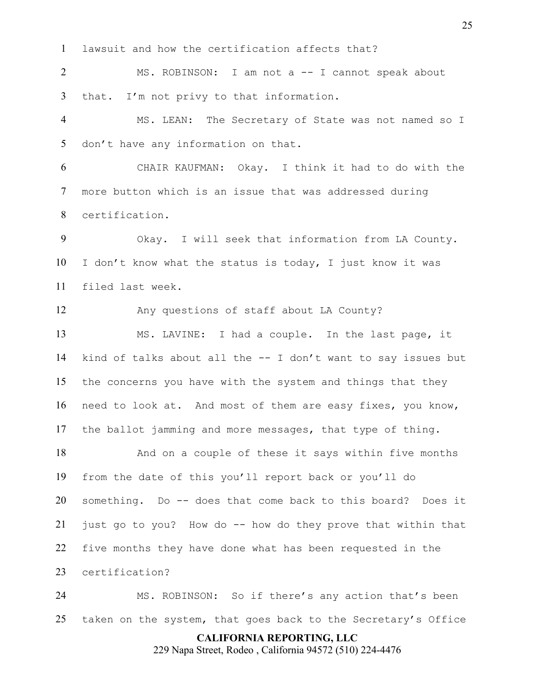lawsuit and how the certification affects that?

2 MS. ROBINSON: I am not a -- I cannot speak about that. I'm not privy to that information.

MS. LEAN: The Secretary of State was not named so I don't have any information on that.

CHAIR KAUFMAN: Okay. I think it had to do with the more button which is an issue that was addressed during certification.

Okay. I will seek that information from LA County. I don't know what the status is today, I just know it was filed last week.

Any questions of staff about LA County?

MS. LAVINE: I had a couple. In the last page, it kind of talks about all the -- I don't want to say issues but the concerns you have with the system and things that they need to look at. And most of them are easy fixes, you know, the ballot jamming and more messages, that type of thing.

And on a couple of these it says within five months from the date of this you'll report back or you'll do something. Do -- does that come back to this board? Does it just go to you? How do -- how do they prove that within that five months they have done what has been requested in the certification?

MS. ROBINSON: So if there's any action that's been taken on the system, that goes back to the Secretary's Office

**CALIFORNIA REPORTING, LLC**

229 Napa Street, Rodeo , California 94572 (510) 224-4476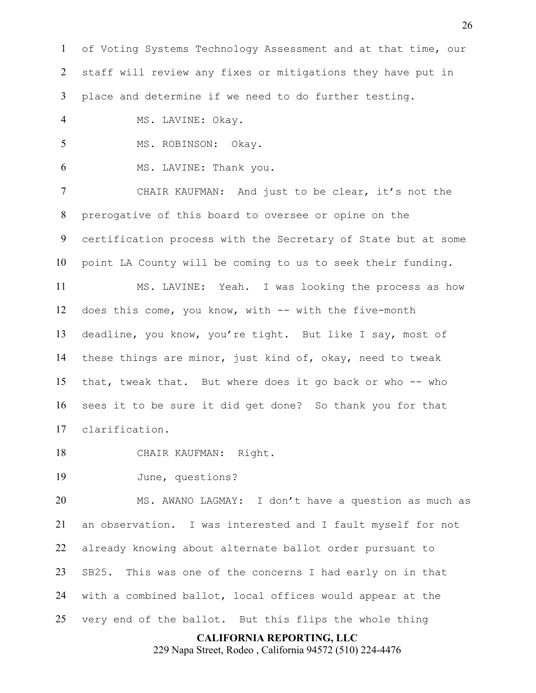of Voting Systems Technology Assessment and at that time, our staff will review any fixes or mitigations they have put in place and determine if we need to do further testing.

4 MS. LAVINE: Okay.

5 MS. ROBINSON: Okay.

MS. LAVINE: Thank you.

CHAIR KAUFMAN: And just to be clear, it's not the prerogative of this board to oversee or opine on the certification process with the Secretary of State but at some point LA County will be coming to us to seek their funding.

MS. LAVINE: Yeah. I was looking the process as how does this come, you know, with -- with the five-month deadline, you know, you're tight. But like I say, most of these things are minor, just kind of, okay, need to tweak that, tweak that. But where does it go back or who -- who sees it to be sure it did get done? So thank you for that clarification.

CHAIR KAUFMAN: Right.

June, questions?

MS. AWANO LAGMAY: I don't have a question as much as an observation. I was interested and I fault myself for not already knowing about alternate ballot order pursuant to SB25. This was one of the concerns I had early on in that with a combined ballot, local offices would appear at the very end of the ballot. But this flips the whole thing

#### **CALIFORNIA REPORTING, LLC**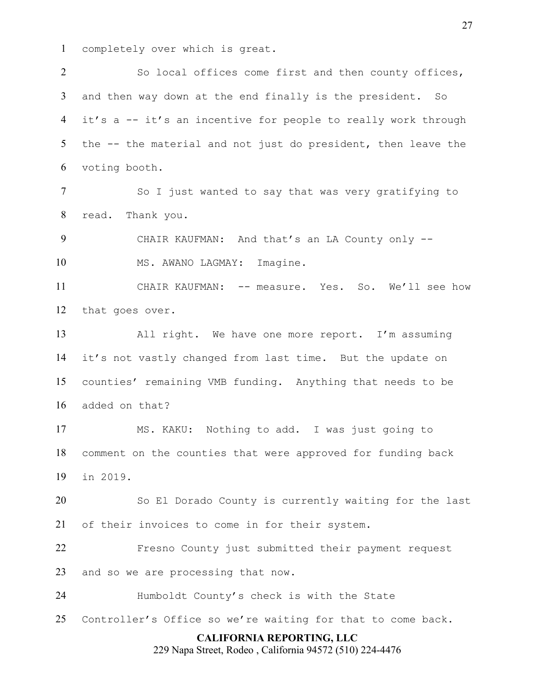completely over which is great.

2 So local offices come first and then county offices, and then way down at the end finally is the president. So it's a -- it's an incentive for people to really work through the -- the material and not just do president, then leave the voting booth.

7 So I just wanted to say that was very gratifying to read. Thank you.

9 CHAIR KAUFMAN: And that's an LA County only --10 MS. AWANO LAGMAY: Imagine.

CHAIR KAUFMAN: -- measure. Yes. So. We'll see how that goes over.

All right. We have one more report. I'm assuming it's not vastly changed from last time. But the update on counties' remaining VMB funding. Anything that needs to be added on that?

MS. KAKU: Nothing to add. I was just going to comment on the counties that were approved for funding back in 2019.

So El Dorado County is currently waiting for the last of their invoices to come in for their system.

Fresno County just submitted their payment request and so we are processing that now.

Humboldt County's check is with the State

Controller's Office so we're waiting for that to come back.

# **CALIFORNIA REPORTING, LLC**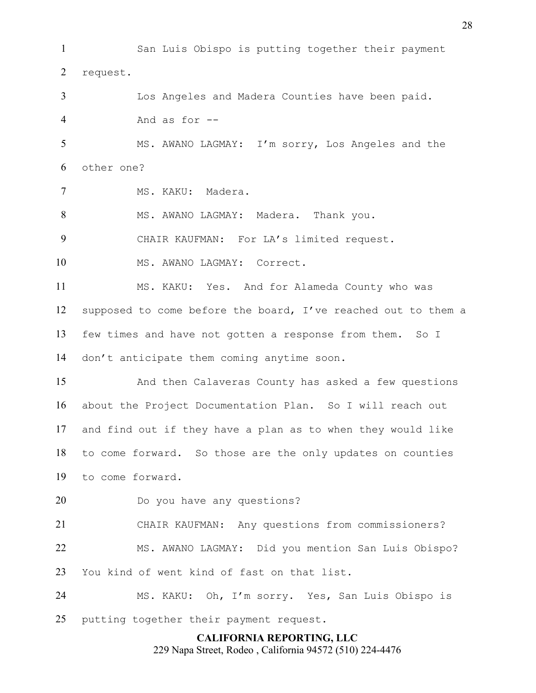**CALIFORNIA REPORTING, LLC** 229 Napa Street, Rodeo , California 94572 (510) 224-4476 San Luis Obispo is putting together their payment request. Los Angeles and Madera Counties have been paid. And as for -- MS. AWANO LAGMAY: I'm sorry, Los Angeles and the other one? MS. KAKU: Madera. MS. AWANO LAGMAY: Madera. Thank you. CHAIR KAUFMAN: For LA's limited request. 10 MS. AWANO LAGMAY: Correct. MS. KAKU: Yes. And for Alameda County who was supposed to come before the board, I've reached out to them a few times and have not gotten a response from them. So I don't anticipate them coming anytime soon. And then Calaveras County has asked a few questions about the Project Documentation Plan. So I will reach out and find out if they have a plan as to when they would like to come forward. So those are the only updates on counties to come forward. Do you have any questions? CHAIR KAUFMAN: Any questions from commissioners? MS. AWANO LAGMAY: Did you mention San Luis Obispo? You kind of went kind of fast on that list. MS. KAKU: Oh, I'm sorry. Yes, San Luis Obispo is 25 putting together their payment request.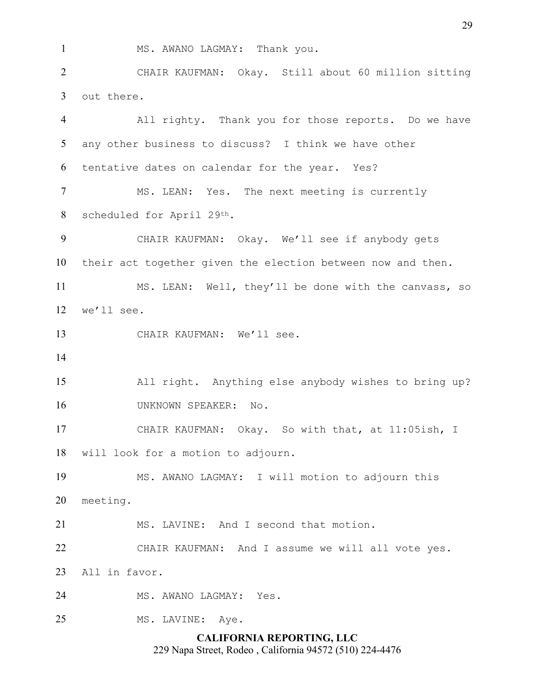MS. AWANO LAGMAY: Thank you.

CHAIR KAUFMAN: Okay. Still about 60 million sitting out there.

**CALIFORNIA REPORTING, LLC** All righty. Thank you for those reports. Do we have any other business to discuss? I think we have other tentative dates on calendar for the year. Yes? MS. LEAN: Yes. The next meeting is currently scheduled for April 29th. CHAIR KAUFMAN: Okay. We'll see if anybody gets their act together given the election between now and then. MS. LEAN: Well, they'll be done with the canvass, so we'll see. CHAIR KAUFMAN: We'll see. All right. Anything else anybody wishes to bring up? UNKNOWN SPEAKER: No. CHAIR KAUFMAN: Okay. So with that, at 11:05ish, I will look for a motion to adjourn. MS. AWANO LAGMAY: I will motion to adjourn this meeting. MS. LAVINE: And I second that motion. CHAIR KAUFMAN: And I assume we will all vote yes. All in favor. MS. AWANO LAGMAY: Yes. 25 MS. LAVINE: Aye.